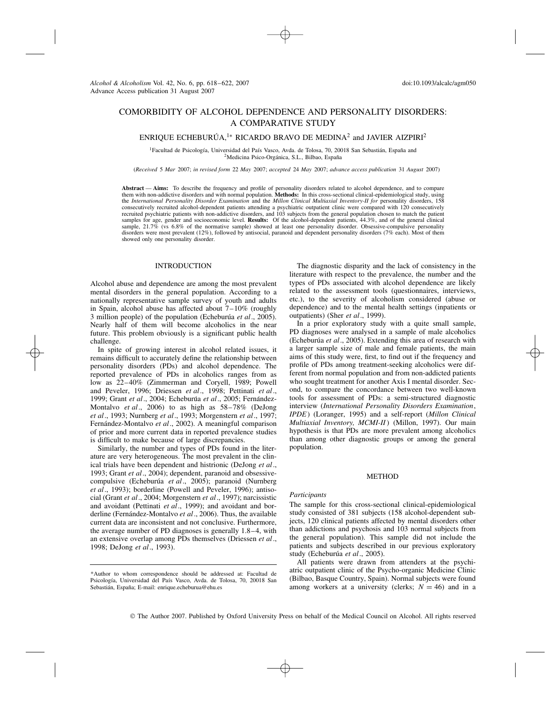# COMORBIDITY OF ALCOHOL DEPENDENCE AND PERSONALITY DISORDERS: A COMPARATIVE STUDY

ENRIQUE ECHEBURÚA,<sup>1</sup>\* RICARDO BRAVO DE MEDINA<sup>2</sup> and JAVIER AIZPIRI<sup>2</sup>

<sup>1</sup>Facultad de Psicología, Universidad del País Vasco, Avda. de Tolosa, 70, 20018 San Sebastián, España and <sup>2</sup>Medicina Psico-Orgánica, S.L., Bilbao, España

(*Received* 5 *Mar* 2007; *in revised form* 22 *May* 2007; *accepted* 24 *May* 2007; *advance access publication* 31 *August* 2007)

**Abstract** — **Aims:** To describe the frequency and profile of personality disorders related to alcohol dependence, and to compare them with non-addictive disorders and with normal population. **Methods:** In this cross-sectional clinical-epidemiological study, using the *International Personality Disorder Examination* and the *Millon Clinical Multiaxial Inventory-II for* personality disorders, 158 consecutively recruited alcohol-dependent patients attending a psychiatric outpatient clinic were compared with 120 consecutively recruited psychiatric patients with non-addictive disorders, and 103 subjects from the general population chosen to match the patient samples for age, gender and socioeconomic level. **Results:** Of the alcohol-dependent patients, 44.3%, and of the general clinical sample,  $21.7\%$  (vs 6.8% of the normative sample) showed at least one personality disorder. Obsessive-compulsive personality disorders were most prevalent (12%), followed by antisocial, paranoid and dependent personality disorders (7% each). Most of them showed only one personality disorder.

# INTRODUCTION

Alcohol abuse and dependence are among the most prevalent mental disorders in the general population. According to a nationally representative sample survey of youth and adults in Spain, alcohol abuse has affected about  $7-10\%$  (roughly 3 million people) of the population (Echeburua *et al.*, 2005). Nearly half of them will become alcoholics in the near future. This problem obviously is a significant public health challenge.

In spite of growing interest in alcohol related issues, it remains difficult to accurately define the relationship between personality disorders (PDs) and alcohol dependence. The reported prevalence of PDs in alcoholics ranges from as low as 22–40% (Zimmerman and Coryell, 1989; Powell and Peveler, 1996; Driessen *et al*., 1998; Pettinati *et al*., 1999; Grant et al., 2004; Echeburúa et al., 2005; Fernández-Montalvo *et al*., 2006) to as high as 58–78% (DeJong *et al*., 1993; Nurnberg *et al*., 1993; Morgenstern *et al*., 1997; Fernández-Montalvo et al., 2002). A meaningful comparison of prior and more current data in reported prevalence studies is difficult to make because of large discrepancies.

Similarly, the number and types of PDs found in the literature are very heterogeneous. The most prevalent in the clinical trials have been dependent and histrionic (DeJong *et al*., 1993; Grant *et al*., 2004); dependent, paranoid and obsessivecompulsive (Echeburúa *et al.*, 2005); paranoid (Nurnberg) *et al*., 1993); borderline (Powell and Peveler, 1996); antisocial (Grant *et al*., 2004; Morgenstern *et al*., 1997); narcissistic and avoidant (Pettinati *et al*., 1999); and avoidant and borderline (Fernández-Montalvo *et al.*, 2006). Thus, the available current data are inconsistent and not conclusive. Furthermore, the average number of PD diagnoses is generally 1.8–4, with an extensive overlap among PDs themselves (Driessen *et al*., 1998; DeJong *et al*., 1993).

The diagnostic disparity and the lack of consistency in the literature with respect to the prevalence, the number and the types of PDs associated with alcohol dependence are likely related to the assessment tools (questionnaires, interviews, etc.), to the severity of alcoholism considered (abuse or dependence) and to the mental health settings (inpatients or outpatients) (Sher *et al*., 1999).

In a prior exploratory study with a quite small sample, PD diagnoses were analysed in a sample of male alcoholics (Echeburúa *et al.*, 2005). Extending this area of research with a larger sample size of male and female patients, the main aims of this study were, first, to find out if the frequency and profile of PDs among treatment-seeking alcoholics were different from normal population and from non-addicted patients who sought treatment for another Axis I mental disorder. Second, to compare the concordance between two well-known tools for assessment of PDs: a semi-structured diagnostic interview (*International Personality Disorders Examination*, *IPDE*) (Loranger, 1995) and a self-report (*Millon Clinical Multiaxial Inventory, MCMI-II*) (Millon, 1997). Our main hypothesis is that PDs are more prevalent among alcoholics than among other diagnostic groups or among the general population.

## **METHOD**

#### *Participants*

The sample for this cross-sectional clinical-epidemiological study consisted of 381 subjects (158 alcohol-dependent subjects, 120 clinical patients affected by mental disorders other than addictions and psychosis and 103 normal subjects from the general population). This sample did not include the patients and subjects described in our previous exploratory study (Echeburúa et al., 2005).

All patients were drawn from attenders at the psychiatric outpatient clinic of the Psycho-organic Medicine Clinic (Bilbao, Basque Country, Spain). Normal subjects were found among workers at a university (clerks;  $N = 46$ ) and in a

<sup>\*</sup>Author to whom correspondence should be addressed at: Facultad de Psicología, Universidad del País Vasco, Avda. de Tolosa, 70, 20018 San Sebastián, España; E-mail: enrique.echeburua@ehu.es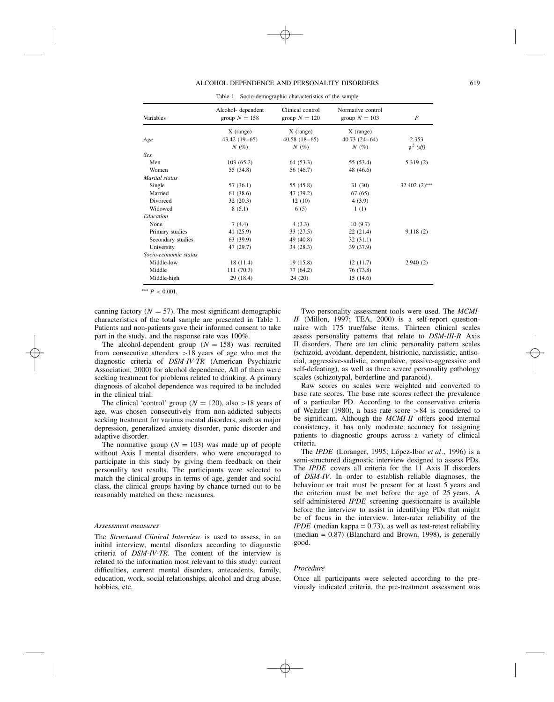| Variables             | Alcohol- dependent<br>group $N = 158$ | Clinical control<br>group $N = 120$ | Normative control<br>group $N = 103$ | F                |  |
|-----------------------|---------------------------------------|-------------------------------------|--------------------------------------|------------------|--|
|                       | $X$ (range)                           | $X$ (range)                         | $X$ (range)                          |                  |  |
| Age                   | $43.42(19-65)$                        | $40.58(18-65)$                      | $40.73(24-64)$                       | 2.353            |  |
|                       | $N(\%)$                               | $N(\%)$                             | $N(\%)$                              | $\chi^2$ (df)    |  |
| Sex                   |                                       |                                     |                                      |                  |  |
| Men                   | 103(65.2)                             | 64 (53.3)                           | 55 (53.4)                            | 5.319(2)         |  |
| Women                 | 55 (34.8)                             | 56 (46.7)                           | 48 (46.6)                            |                  |  |
| Marital status        |                                       |                                     |                                      |                  |  |
| Single                | 57 (36.1)                             | 55 (45.8)                           | 31(30)                               | 32.402 $(2)$ *** |  |
| Married               | 61 (38.6)                             | 47 (39.2)                           | 67 (65)                              |                  |  |
| Divorced              | 32(20.3)                              | 12(10)                              | 4(3.9)                               |                  |  |
| Widowed               | 8(5.1)                                | 6(5)                                | 1(1)                                 |                  |  |
| Education             |                                       |                                     |                                      |                  |  |
| None                  | 7(4.4)                                | 4(3.3)                              | 10(9.7)                              |                  |  |
| Primary studies       | 41 (25.9)                             | 33(27.5)                            | 22(21.4)                             | 9.118(2)         |  |
| Secondary studies     | 63 (39.9)                             | 49 (40.8)                           | 32(31.1)                             |                  |  |
| University            | 47 (29.7)                             | 34(28.3)                            | 39 (37.9)                            |                  |  |
| Socio-economic status |                                       |                                     |                                      |                  |  |
| Middle-low            | 18(11.4)                              | 19(15.8)                            | 12(11.7)                             | 2.940(2)         |  |
| Middle                | 111(70.3)                             | 77 (64.2)                           | 76 (73.8)                            |                  |  |
| Middle-high           | 29 (18.4)                             | 24 (20)                             | 15(14.6)                             |                  |  |

Table 1. Socio-demographic characteristics of the sample

∗∗∗ *P <* 0*.*001.

canning factory ( $N = 57$ ). The most significant demographic characteristics of the total sample are presented in Table 1. Patients and non-patients gave their informed consent to take part in the study, and the response rate was 100%.

The alcohol-dependent group  $(N = 158)$  was recruited from consecutive attenders *>*18 years of age who met the diagnostic criteria of *DSM-IV-TR* (American Psychiatric Association, 2000) for alcohol dependence. All of them were seeking treatment for problems related to drinking. A primary diagnosis of alcohol dependence was required to be included in the clinical trial.

The clinical 'control' group ( $N = 120$ ), also >18 years of age, was chosen consecutively from non-addicted subjects seeking treatment for various mental disorders, such as major depression, generalized anxiety disorder, panic disorder and adaptive disorder.

The normative group  $(N = 103)$  was made up of people without Axis I mental disorders, who were encouraged to participate in this study by giving them feedback on their personality test results. The participants were selected to match the clinical groups in terms of age, gender and social class, the clinical groups having by chance turned out to be reasonably matched on these measures.

# *Assessment measures*

The *Structured Clinical Interview* is used to assess, in an initial interview, mental disorders according to diagnostic criteria of *DSM-IV-TR*. The content of the interview is related to the information most relevant to this study: current difficulties, current mental disorders, antecedents, family, education, work, social relationships, alcohol and drug abuse, hobbies, etc.

Two personality assessment tools were used. The *MCMI-II* (Millon, 1997; TEA, 2000) is a self-report questionnaire with 175 true/false items. Thirteen clinical scales assess personality patterns that relate to *DSM-III-R* Axis II disorders. There are ten clinic personality pattern scales (schizoid, avoidant, dependent, histrionic, narcissistic, antisocial, aggressive-sadistic, compulsive, passive-aggressive and self-defeating), as well as three severe personality pathology scales (schizotypal, borderline and paranoid).

Raw scores on scales were weighted and converted to base rate scores. The base rate scores reflect the prevalence of a particular PD. According to the conservative criteria of Weltzler (1980), a base rate score *>*84 is considered to be significant. Although the *MCMI-II* offers good internal consistency, it has only moderate accuracy for assigning patients to diagnostic groups across a variety of clinical criteria.

The *IPDE* (Loranger, 1995; López-Ibor *et al.*, 1996) is a semi-structured diagnostic interview designed to assess PDs. The *IPDE* covers all criteria for the 11 Axis II disorders of *DSM-IV*. In order to establish reliable diagnoses, the behaviour or trait must be present for at least 5 years and the criterion must be met before the age of 25 years. A self-administered *IPDE* screening questionnaire is available before the interview to assist in identifying PDs that might be of focus in the interview. Inter-rater reliability of the *IPDE* (median kappa =  $0.73$ ), as well as test-retest reliability  $(median = 0.87)$  (Blanchard and Brown, 1998), is generally good.

# *Procedure*

Once all participants were selected according to the previously indicated criteria, the pre-treatment assessment was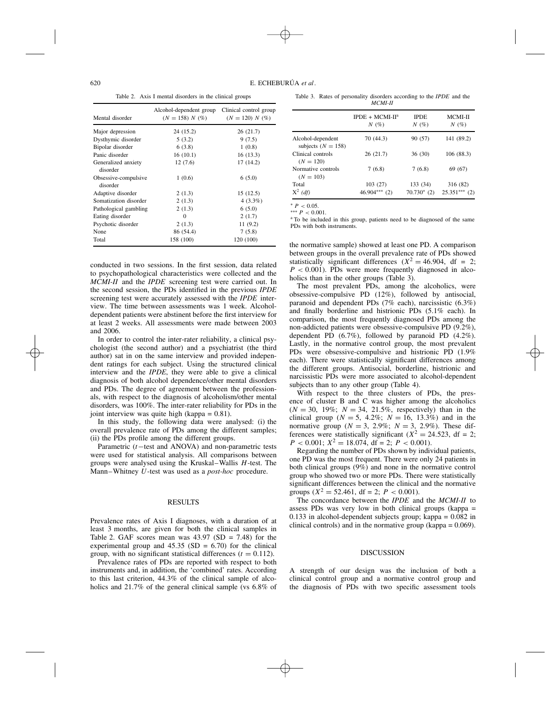Table 2. Axis I mental disorders in the clinical groups

| Mental disorder                  | Alcohol-dependent group<br>$(N = 158) N$ (%) | Clinical control group<br>$(N = 120) N$ (%) |  |
|----------------------------------|----------------------------------------------|---------------------------------------------|--|
| Major depression                 | 24 (15.2)                                    | 26 (21.7)                                   |  |
| Dysthymic disorder               | 5(3.2)                                       | 9(7.5)                                      |  |
| Bipolar disorder                 | 6(3.8)                                       | 1(0.8)                                      |  |
| Panic disorder                   | 16 (10.1)                                    | 16(13.3)                                    |  |
| Generalized anxiety<br>disorder  | 12(7.6)                                      | 17 (14.2)                                   |  |
| Obsessive-compulsive<br>disorder | 1(0.6)                                       | 6(5.0)                                      |  |
| Adaptive disorder                | 2(1.3)                                       | 15 (12.5)                                   |  |
| Somatization disorder            | 2(1.3)                                       | $4(3.3\%)$                                  |  |
| Pathological gambling            | 2(1.3)                                       | 6(5.0)                                      |  |
| Eating disorder                  | $\Omega$                                     | 2(1.7)                                      |  |
| Psychotic disorder               | 2(1.3)                                       | 11 (9.2)                                    |  |
| None                             | 86 (54.4)                                    | 7(5.8)                                      |  |
| Total                            | 158 (100)                                    | 120 (100)                                   |  |

conducted in two sessions. In the first session, data related to psychopathological characteristics were collected and the *MCMI-II* and the *IPDE* screening test were carried out. In the second session, the PDs identified in the previous *IPDE* screening test were accurately assessed with the *IPDE* interview. The time between assessments was 1 week. Alcoholdependent patients were abstinent before the first interview for at least 2 weeks. All assessments were made between 2003 and 2006.

In order to control the inter-rater reliability, a clinical psychologist (the second author) and a psychiatrist (the third author) sat in on the same interview and provided independent ratings for each subject. Using the structured clinical interview and the *IPDE*, they were able to give a clinical diagnosis of both alcohol dependence/other mental disorders and PDs. The degree of agreement between the professionals, with respect to the diagnosis of alcoholism/other mental disorders, was 100%. The inter-rater reliability for PDs in the joint interview was quite high (kappa  $= 0.81$ ).

In this study, the following data were analysed: (i) the overall prevalence rate of PDs among the different samples; (ii) the PDs profile among the different groups.

Parametric (*t*−test and ANOVA) and non-parametric tests were used for statistical analysis. All comparisons between groups were analysed using the Kruskal–Wallis *H*-test. The Mann–Whitney *U*-test was used as a *post-hoc* procedure.

# RESULTS

Prevalence rates of Axis I diagnoses, with a duration of at least 3 months, are given for both the clinical samples in Table 2. GAF scores mean was  $43.97$  (SD = 7.48) for the experimental group and  $45.35$  (SD = 6.70) for the clinical group, with no significant statistical differences  $(t = 0.112)$ .

Prevalence rates of PDs are reported with respect to both instruments and, in addition, the 'combined' rates. According to this last criterion, 44.3% of the clinical sample of alcoholics and 21.7% of the general clinical sample (vs 6.8% of

Table 3. Rates of personality disorders according to the *IPDE* and the *MCMI-II*

|                                             | $IPDE + MCMI-IIa$<br>$N(\%)$ | <b>IPDE</b><br>N(%) | <b>MCMI-II</b><br>N(%) |
|---------------------------------------------|------------------------------|---------------------|------------------------|
| Alcohol-dependent<br>subjects ( $N = 158$ ) | 70 (44.3)                    | 90 (57)             | 141 (89.2)             |
| Clinical controls<br>$(N = 120)$            | 26(21.7)                     | 36(30)              | 106(88.3)              |
| Normative controls<br>$(N = 103)$           | 7(6.8)                       | 7(6.8)              | 69 (67)                |
| Total                                       | 103(27)                      | 133 (34)            | 316 (82)               |
| $X^2$ (df)                                  | 46.904***<br>(2)             | $70.730*(2)$        | $25.351***$<br>(2)     |

 $* P < 0.05$ .<br>\*\*\*  $P < 0.001$ .

<sup>a</sup> To be included in this group, patients need to be diagnosed of the same PDs with both instruments.

the normative sample) showed at least one PD. A comparison between groups in the overall prevalence rate of PDs showed statistically significant differences  $(X^2 = 46.904, df = 2;$  $P < 0.001$ ). PDs were more frequently diagnosed in alcoholics than in the other groups (Table 3).

The most prevalent PDs, among the alcoholics, were obsessive-compulsive PD (12%), followed by antisocial, paranoid and dependent PDs (7% each), narcissistic (6.3%) and finally borderline and histrionic PDs (5.1% each). In comparison, the most frequently diagnosed PDs among the non-addicted patients were obsessive-compulsive PD (9.2%), dependent PD (6.7%), followed by paranoid PD (4.2%). Lastly, in the normative control group, the most prevalent PDs were obsessive-compulsive and histrionic PD (1.9% each). There were statistically significant differences among the different groups. Antisocial, borderline, histrionic and narcissistic PDs were more associated to alcohol-dependent subjects than to any other group (Table 4).

With respect to the three clusters of PDs, the presence of cluster B and C was higher among the alcoholics  $(N = 30, 19\%; N = 34, 21.5\%,$  respectively) than in the clinical group ( $N = 5$ , 4.2%;  $N = 16$ , 13.3%) and in the normative group ( $N = 3$ , 2.9%;  $N = 3$ , 2.9%). These differences were statistically significant  $(X^2 = 24.523$ , df = 2;  $P < 0.001$ ;  $X^2 = 18.074$ , df = 2;  $P < 0.001$ ).

Regarding the number of PDs shown by individual patients, one PD was the most frequent. There were only 24 patients in both clinical groups (9%) and none in the normative control group who showed two or more PDs. There were statistically significant differences between the clinical and the normative groups ( $X^2 = 52.461$ , df = 2;  $P < 0.001$ ).

The concordance between the *IPDE* and the *MCMI-II* to assess PDs was very low in both clinical groups (kappa = 0.133 in alcohol-dependent subjects group; kappa = 0.082 in clinical controls) and in the normative group (kappa = 0.069).

#### DISCUSSION

A strength of our design was the inclusion of both a clinical control group and a normative control group and the diagnosis of PDs with two specific assessment tools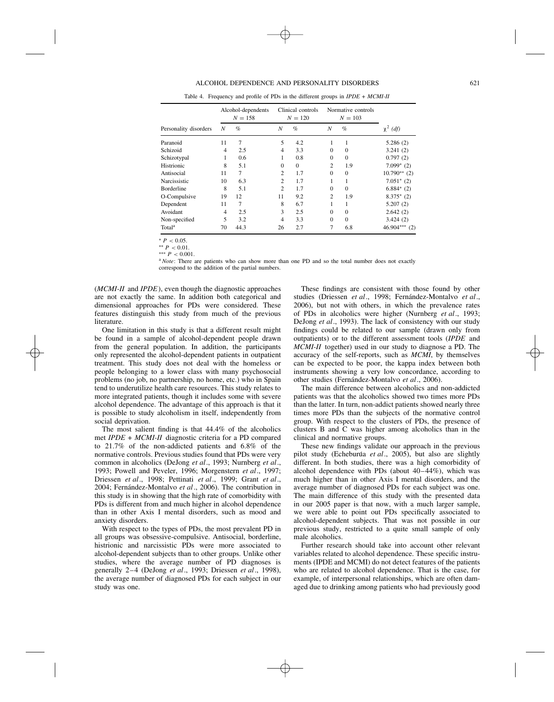#### ALCOHOL DEPENDENCE AND PERSONALITY DISORDERS 621

Table 4. Frequency and profile of PDs in the different groups in *IPDE + MCMI-II*

| Personality disorders | Alcohol-dependents<br>$N = 158$ |      | Clinical controls<br>$N = 120$ |              | Normative controls<br>$N = 103$ |              |                  |
|-----------------------|---------------------------------|------|--------------------------------|--------------|---------------------------------|--------------|------------------|
|                       | N                               | $\%$ | N                              | $\%$         | N                               | $\%$         | $\chi^2$ (df)    |
| Paranoid              | 11                              | 7    | 5                              | 4.2          |                                 |              | 5.286(2)         |
| Schizoid              | $\overline{4}$                  | 2.5  | 4                              | 3.3          | $\Omega$                        | $\mathbf{0}$ | 3.241(2)         |
| Schizotypal           |                                 | 0.6  |                                | 0.8          | 0                               | $\mathbf{0}$ | 0.797(2)         |
| Histrionic            | 8                               | 5.1  | $\Omega$                       | $\mathbf{0}$ | 2                               | 1.9          | $7.099*$ (2)     |
| Antisocial            | 11                              | 7    | 2                              | 1.7          | $\mathbf{0}$                    | $\mathbf{0}$ | $10.790**$ (2)   |
| Narcissistic          | 10                              | 6.3  | 2                              | 1.7          |                                 |              | $7.051*$ (2)     |
| Borderline            | 8                               | 5.1  | 2                              | 1.7          | $\mathbf{0}$                    | $\Omega$     | $6.884*$ (2)     |
| O-Compulsive          | 19                              | 12   | 11                             | 9.2          | $\overline{c}$                  | 1.9          | $8.375*$ (2)     |
| Dependent             | 11                              | 7    | 8                              | 6.7          |                                 | 1            | 5.207(2)         |
| Avoidant              | $\overline{4}$                  | 2.5  | 3                              | 2.5          | $\Omega$                        | $\Omega$     | 2.642(2)         |
| Non-specified         | 5                               | 3.2  | 4                              | 3.3          | $\mathbf{0}$                    | $\Omega$     | 3.424(2)         |
| Total <sup>a</sup>    | 70                              | 44.3 | 26                             | 2.7          | 7                               | 6.8          | 46.904***<br>(2) |

 $* P < 0.05$ .

 $*$ <sup>\*</sup> *P* < 0.01.<br> $*$ <sup>\*</sup> *P* < 0.001.

<sup>a</sup> *Note*: There are patients who can show more than one PD and so the total number does not exactly correspond to the addition of the partial numbers.

(*MCMI-II* and *IPDE*), even though the diagnostic approaches are not exactly the same. In addition both categorical and dimensional approaches for PDs were considered. These features distinguish this study from much of the previous literature.

One limitation in this study is that a different result might be found in a sample of alcohol-dependent people drawn from the general population. In addition, the participants only represented the alcohol-dependent patients in outpatient treatment. This study does not deal with the homeless or people belonging to a lower class with many psychosocial problems (no job, no partnership, no home, etc.) who in Spain tend to underutilize health care resources. This study relates to more integrated patients, though it includes some with severe alcohol dependence. The advantage of this approach is that it is possible to study alcoholism in itself, independently from social deprivation.

The most salient finding is that 44.4% of the alcoholics met *IPDE + MCMI-II* diagnostic criteria for a PD compared to 21.7% of the non-addicted patients and 6.8% of the normative controls. Previous studies found that PDs were very common in alcoholics (DeJong *et al*., 1993; Nurnberg *et al*., 1993; Powell and Peveler, 1996; Morgenstern *et al*., 1997; Driessen *et al*., 1998; Pettinati *et al*., 1999; Grant *et al*., 2004; Fernández-Montalvo et al., 2006). The contribution in this study is in showing that the high rate of comorbidity with PDs is different from and much higher in alcohol dependence than in other Axis I mental disorders, such as mood and anxiety disorders.

With respect to the types of PDs, the most prevalent PD in all groups was obsessive-compulsive. Antisocial, borderline, histrionic and narcissistic PDs were more associated to alcohol-dependent subjects than to other groups. Unlike other studies, where the average number of PD diagnoses is generally 2–4 (DeJong *et al*., 1993; Driessen *et al*., 1998), the average number of diagnosed PDs for each subject in our study was one.

These findings are consistent with those found by other studies (Driessen et al., 1998; Fernández-Montalvo et al., 2006), but not with others, in which the prevalence rates of PDs in alcoholics were higher (Nurnberg *et al*., 1993; DeJong *et al*., 1993). The lack of consistency with our study findings could be related to our sample (drawn only from outpatients) or to the different assessment tools (*IPDE* and *MCMI-II* together) used in our study to diagnose a PD. The accuracy of the self-reports, such as *MCMI*, by themselves can be expected to be poor, the kappa index between both instruments showing a very low concordance, according to other studies (Fernández-Montalvo *et al.*, 2006).

The main difference between alcoholics and non-addicted patients was that the alcoholics showed two times more PDs than the latter. In turn, non-addict patients showed nearly three times more PDs than the subjects of the normative control group. With respect to the clusters of PDs, the presence of clusters B and C was higher among alcoholics than in the clinical and normative groups.

These new findings validate our approach in the previous pilot study (Echeburúa *et al.*, 2005), but also are slightly different. In both studies, there was a high comorbidity of alcohol dependence with PDs (about 40–44%), which was much higher than in other Axis I mental disorders, and the average number of diagnosed PDs for each subject was one. The main difference of this study with the presented data in our 2005 paper is that now, with a much larger sample, we were able to point out PDs specifically associated to alcohol-dependent subjects. That was not possible in our previous study, restricted to a quite small sample of only male alcoholics.

Further research should take into account other relevant variables related to alcohol dependence. These specific instruments (IPDE and MCMI) do not detect features of the patients who are related to alcohol dependence. That is the case, for example, of interpersonal relationships, which are often damaged due to drinking among patients who had previously good